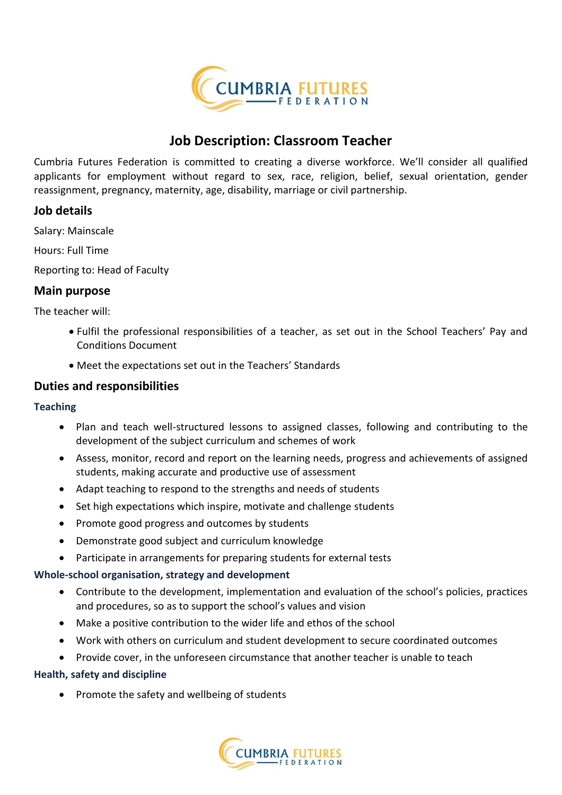

## **Job Description: Classroom Teacher**

Cumbria Futures Federation is committed to creating a diverse workforce. We'll consider all qualified applicants for employment without regard to sex, race, religion, belief, sexual orientation, gender reassignment, pregnancy, maternity, age, disability, marriage or civil partnership.

#### **Job details**

Salary: Mainscale

Hours: Full Time

Reporting to: Head of Faculty

#### **Main purpose**

The teacher will:

- Fulfil the professional responsibilities of a teacher, as set out in the School Teachers' Pay and Conditions Document
- Meet the expectations set out in the Teachers' Standards

#### **Duties and responsibilities**

#### **Teaching**

- Plan and teach well-structured lessons to assigned classes, following and contributing to the development of the subject curriculum and schemes of work
- Assess, monitor, record and report on the learning needs, progress and achievements of assigned students, making accurate and productive use of assessment
- Adapt teaching to respond to the strengths and needs of students
- Set high expectations which inspire, motivate and challenge students
- Promote good progress and outcomes by students
- Demonstrate good subject and curriculum knowledge
- Participate in arrangements for preparing students for external tests

#### **Whole-school organisation, strategy and development**

- Contribute to the development, implementation and evaluation of the school's policies, practices and procedures, so as to support the school's values and vision
- Make a positive contribution to the wider life and ethos of the school
- Work with others on curriculum and student development to secure coordinated outcomes
- Provide cover, in the unforeseen circumstance that another teacher is unable to teach

#### **Health, safety and discipline**

• Promote the safety and wellbeing of students

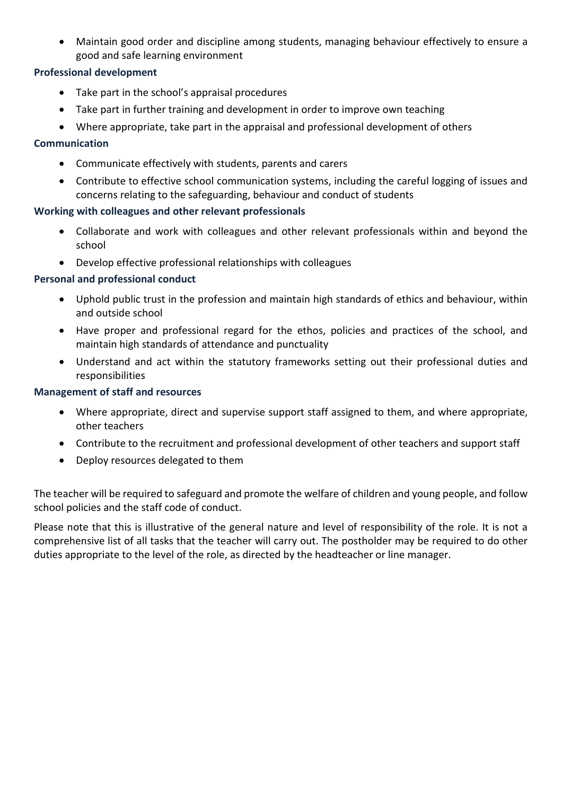Maintain good order and discipline among students, managing behaviour effectively to ensure a good and safe learning environment

#### **Professional development**

- Take part in the school's appraisal procedures
- Take part in further training and development in order to improve own teaching
- Where appropriate, take part in the appraisal and professional development of others

#### **Communication**

- Communicate effectively with students, parents and carers
- Contribute to effective school communication systems, including the careful logging of issues and concerns relating to the safeguarding, behaviour and conduct of students

#### **Working with colleagues and other relevant professionals**

- Collaborate and work with colleagues and other relevant professionals within and beyond the school
- Develop effective professional relationships with colleagues

#### **Personal and professional conduct**

- Uphold public trust in the profession and maintain high standards of ethics and behaviour, within and outside school
- Have proper and professional regard for the ethos, policies and practices of the school, and maintain high standards of attendance and punctuality
- Understand and act within the statutory frameworks setting out their professional duties and responsibilities

#### **Management of staff and resources**

- Where appropriate, direct and supervise support staff assigned to them, and where appropriate, other teachers
- Contribute to the recruitment and professional development of other teachers and support staff
- Deploy resources delegated to them

The teacher will be required to safeguard and promote the welfare of children and young people, and follow school policies and the staff code of conduct.

Please note that this is illustrative of the general nature and level of responsibility of the role. It is not a comprehensive list of all tasks that the teacher will carry out. The postholder may be required to do other duties appropriate to the level of the role, as directed by the headteacher or line manager.